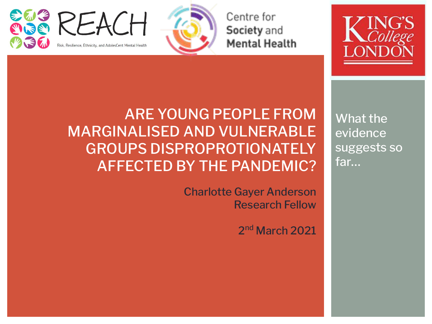

Centre for Society and **Mental Health** 



What the evidence suggests so far…

ARE YOUNG PEOPLE FROM MARGINALISED AND VULNERABLE GROUPS DISPROPROTIONATELY AFFECTED BY THE PANDEMIC?

> Charlotte Gayer Anderson Research Fellow

> > 2<sup>nd</sup> March 2021

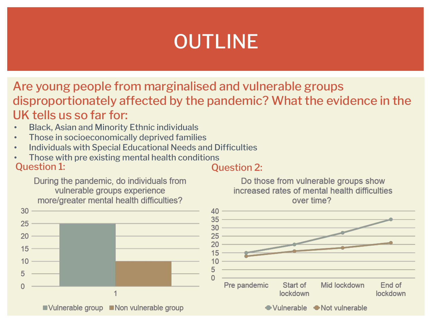# OUTLINE

Are young people from marginalised and vulnerable groups disproportionately affected by the pandemic? What the evidence in the UK tells us so far for:

- Black, Asian and Minority Ethnic individuals
- Those in socioeconomically deprived families
- Individuals with Special Educational Needs and Difficulties
- Question 1: Question 2: • Those with pre existing mental health conditions

During the pandemic, do individuals from vulnerable groups experience more/greater mental health difficulties?





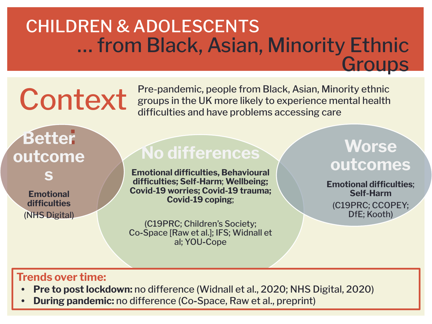### CHILDREN & ADOLESCENTS … from Black, Asian, Minority Ethnic **Groups**

# Context

Pre-pandemic, people from Black, Asian, Minority ethnic groups in the UK more likely to experience mental health difficulties and have problems accessing care

# : **Better outcome**

**s**

**Emotional difficulties**  (NHS Digital)

### **No differences**

**Emotional difficulties, Behavioural difficulties; Self-Harm**; **Wellbeing; Covid-19 worries; Covid-19 trauma; Covid-19 coping**;

(C19PRC; Children's Society; Co**-**Space [Raw et al.]; IFS; Widnall et al; YOU**-**Cope

### **Worse outcomes**

**Emotional difficulties**; **Self-Harm**

(C19PRC; CCOPEY; DfE; Kooth)

### **Trends over time:**

- **• Pre to post lockdown:** no difference (Widnall et al., 2020; NHS Digital, 2020)
- **• During pandemic:** no difference (Co**-**Space, Raw et al., preprint)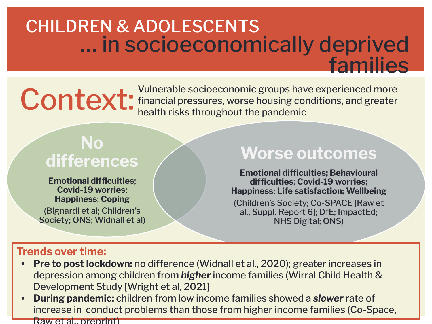### CHILDREN & ADOLESCENTS … in socioeconomically deprived families

Context: Vulnerable socioeconomic groups have experienced more<br> **Context:** financial pressures, worse housing conditions, and greater<br>
health risks throughout the pandemic financial pressures, worse housing conditions, and greater health risks throughout the pandemic

### **No differences**

**Emotional difficulties**; **Covid-19 worries**; **Happiness**; **Coping**  (Bignardi et al; Children's Society; ONS; Widnall et al)

### **Worse outcomes**

**Emotional difficulties; Behavioural difficulties**; **Covid-19 worries; Happiness**; **Life satisfaction; Wellbeing**

(Children's Society; Co-SPACE [Raw et al., Suppl. Report 6]; DfE; ImpactEd; NHS Digital; ONS)

### **Trends over time:**

- **• Pre to post lockdown:** no difference (Widnall et al., 2020); greater increases in depression among children from *higher* income families (Wirral Child Health & Development Study [Wright et al, 2021]
- **• During pandemic:** children from low income families showed a *slower* rate of increase in conduct problems than those from higher income families (Co**-**Space, Raw et al., preprint)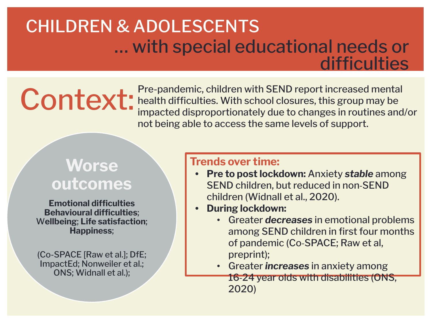### CHILDREN & ADOLESCENTS … with special educational needs or difficulties

Context: Pre-pandemic, children with SEND report increased mental<br>impacted disproportionately due to changes in routines and health difficulties. With school closures, this group may be impacted disproportionately due to changes in routines and/or not being able to access the same levels of support.

### **Worse outcomes**

**Emotional difficulties Behavioural difficulties**; W**ellbeing**; **Life satisfaction**; **Happiness**;

(Co-SPACE [Raw et al.]; DfE; ImpactEd; Nonweiler et al.; ONS; Widnall et al.);

### **Trends over time:**

- **• Pre to post lockdown:** Anxiety *stable* among SEND children, but reduced in non-SEND children (Widnall et al., 2020).
- **• During lockdown:**
	- Greater *decreases* in emotional problems among SEND children in first four months of pandemic (Co-SPACE; Raw et al, preprint);
	- Greater *increases* in anxiety among 16-24 year olds with disabilities (ONS, 2020)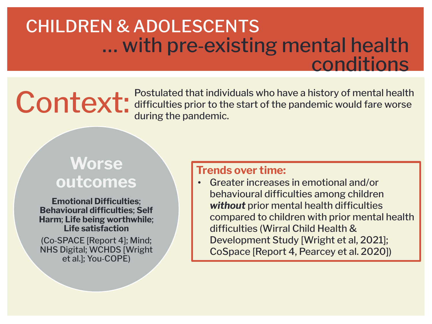### CHILDREN & ADOLESCENTS … with pre-existing mental health conditions

**Context:** Postulated that individuals who have a history of mental health<br>difficulties prior to the start of the pandemic would fare worse<br>during the pandemic. difficulties prior to the start of the pandemic would fare worse during the pandemic.

### **Worse outcomes**

**Emotional Difficulties**; **Behavioural difficulties**; **Self Harm**; **Life being worthwhile**; **Life satisfaction**

(Co-SPACE [Report 4]; Mind; NHS Digital; WCHDS [Wright et al.]; You-COPE)

### **Trends over time:**

• Greater increases in emotional and/or behavioural difficulties among children *without* prior mental health difficulties compared to children with prior mental health difficulties (Wirral Child Health & Development Study [Wright et al, 2021]; CoSpace [Report 4, Pearcey et al. 2020])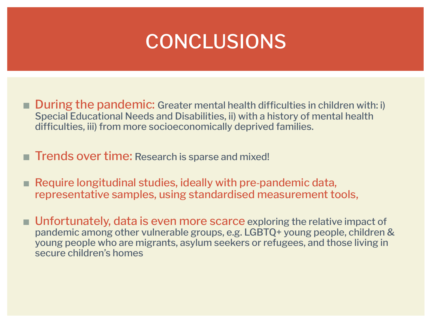### **CONCLUSIONS**

- During the pandemic: Greater mental health difficulties in children with: i) Special Educational Needs and Disabilities, ii) with a history of mental health difficulties, iii) from more socioeconomically deprived families.
- Trends over time: Research is sparse and mixed!
- Require longitudinal studies, ideally with pre-pandemic data, representative samples, using standardised measurement tools,
- Unfortunately, data is even more scarce exploring the relative impact of pandemic among other vulnerable groups, e.g. LGBTQ+ young people, children & young people who are migrants, asylum seekers or refugees, and those living in secure children's homes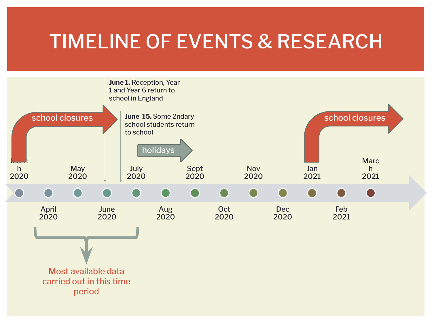### TIMELINE OF EVENTS & RESEARCH

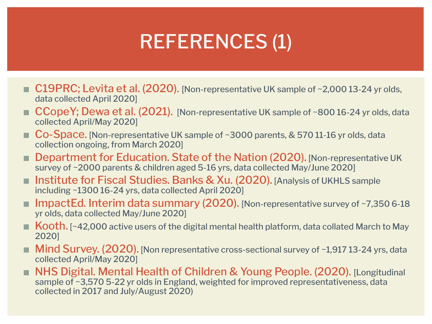# REFERENCES (1)

- C19PRC; Levita et al. (2020). [Non-representative UK sample of ~2,000 13-24 yr olds, data collected April 2020]
- $\blacksquare$  CCopeY; Dewa et al. (2021). [Non-representative UK sample of ~800 16-24 yr olds, data collected April/May 2020]
- Co-Space. [Non-representative UK sample of ~3000 parents, & 570 11-16 yr olds, data collection ongoing, from March 2020]
- **Department for Education. State of the Nation (2020). [Non-representative UK** survey of ~2000 parents & children aged 5-16 yrs, data collected May/June 2020]
- **Institute for Fiscal Studies. Banks & Xu. (2020).** [Analysis of UKHLS sample including ~1300 16-24 yrs, data collected April 2020]
- ImpactEd. Interim data summary  $(2020)$ . [Non-representative survey of  $\sim$ 7,350 6-18 yr olds, data collected May/June 2020]
- $\blacksquare$  Kooth. [~42,000 active users of the digital mental health platform, data collated March to May 2020]
- **Mind Survey. (2020).** [Non representative cross-sectional survey of  $\sim$ 1,917 13-24 yrs, data collected April/May 2020]
- **NHS Digital. Mental Health of Children & Young People. (2020). [Longitudinal** sample of ~3,570 5-22 yr olds in England, weighted for improved representativeness, data collected in 2017 and July/August 2020)